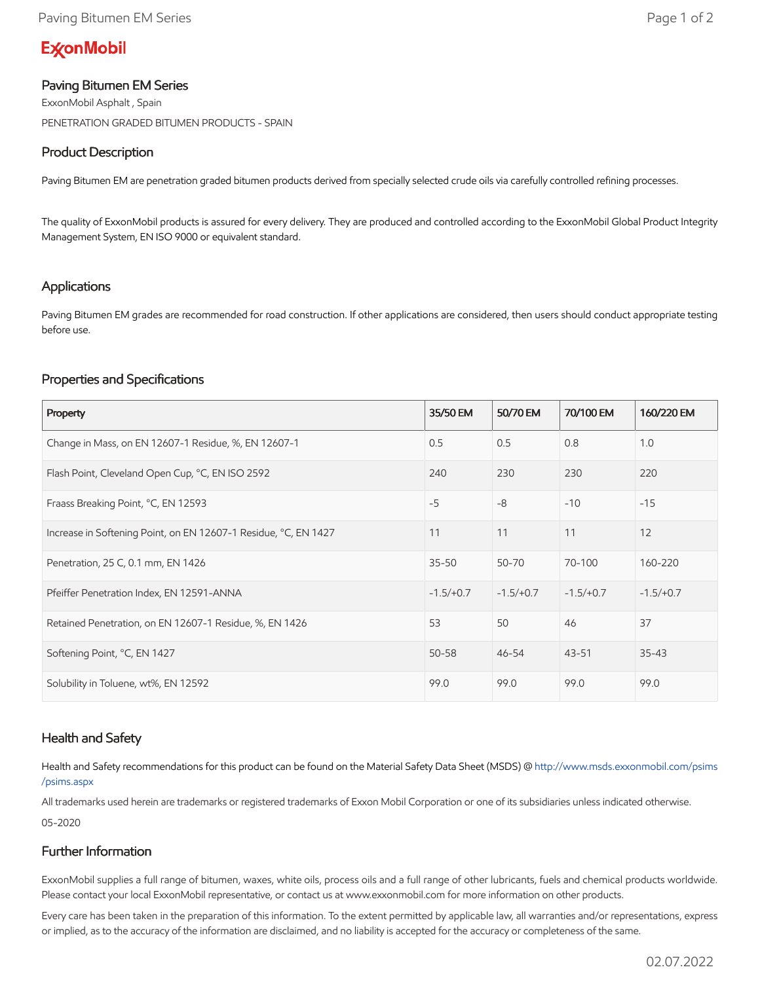# **ExconMobil**

## Paving Bitumen EM Series

ExxonMobil Asphalt , Spain PENETRATION GRADED BITUMEN PRODUCTS - SPAIN

# Product Description

Paving Bitumen EM are penetration graded bitumen products derived from specially selected crude oils via carefully controlled refining processes.

The quality of ExxonMobil products is assured for every delivery. They are produced and controlled according to the ExxonMobil Global Product Integrity Management System, EN ISO 9000 or equivalent standard.

#### Applications

Paving Bitumen EM grades are recommended for road construction. If other applications are considered, then users should conduct appropriate testing before use.

## Properties and Specifications

| Property                                                        | 35/50 EM    | 50/70 EM    | 70/100 EM   | 160/220 EM  |
|-----------------------------------------------------------------|-------------|-------------|-------------|-------------|
| Change in Mass, on EN 12607-1 Residue, %, EN 12607-1            | 0.5         | 0.5         | 0.8         | 1.0         |
| Flash Point, Cleveland Open Cup, °C, EN ISO 2592                | 240         | 230         | 230         | 220         |
| Fraass Breaking Point, °C, EN 12593                             | $-5$        | $-8$        | $-10$       | $-15$       |
| Increase in Softening Point, on EN 12607-1 Residue, °C, EN 1427 | 11          | 11          | 11          | 12          |
| Penetration, 25 C, 0.1 mm, EN 1426                              | $35 - 50$   | 50-70       | 70-100      | 160-220     |
| Pfeiffer Penetration Index, EN 12591-ANNA                       | $-1.5/+0.7$ | $-1.5/+0.7$ | $-1.5/+0.7$ | $-1.5/+0.7$ |
| Retained Penetration, on EN 12607-1 Residue, %, EN 1426         | 53          | 50          | 46          | 37          |
| Softening Point, °C, EN 1427                                    | $50 - 58$   | $46 - 54$   | $43 - 51$   | $35 - 43$   |
| Solubility in Toluene, wt%, EN 12592                            | 99.0        | 99.0        | 99.0        | 99.0        |

#### Health and Safety

Health and Safety recommendations for this product can be found on the Material Safety Data Sheet (MSDS) @ [http://www.msds.exxonmobil.com/psims](http://www.msds.exxonmobil.com/psims/psims.aspx) /psims.aspx

All trademarks used herein are trademarks or registered trademarks of Exxon Mobil Corporation or one of its subsidiaries unless indicated otherwise. 05-2020

## Further Information

ExxonMobil supplies a full range of bitumen, waxes, white oils, process oils and a full range of other lubricants, fuels and chemical products worldwide. Please contact your local ExxonMobil representative, or contact us at www.exxonmobil.com for more information on other products.

Every care has been taken in the preparation of this information. To the extent permitted by applicable law, all warranties and/or representations, express or implied, as to the accuracy of the information are disclaimed, and no liability is accepted for the accuracy or completeness of the same.